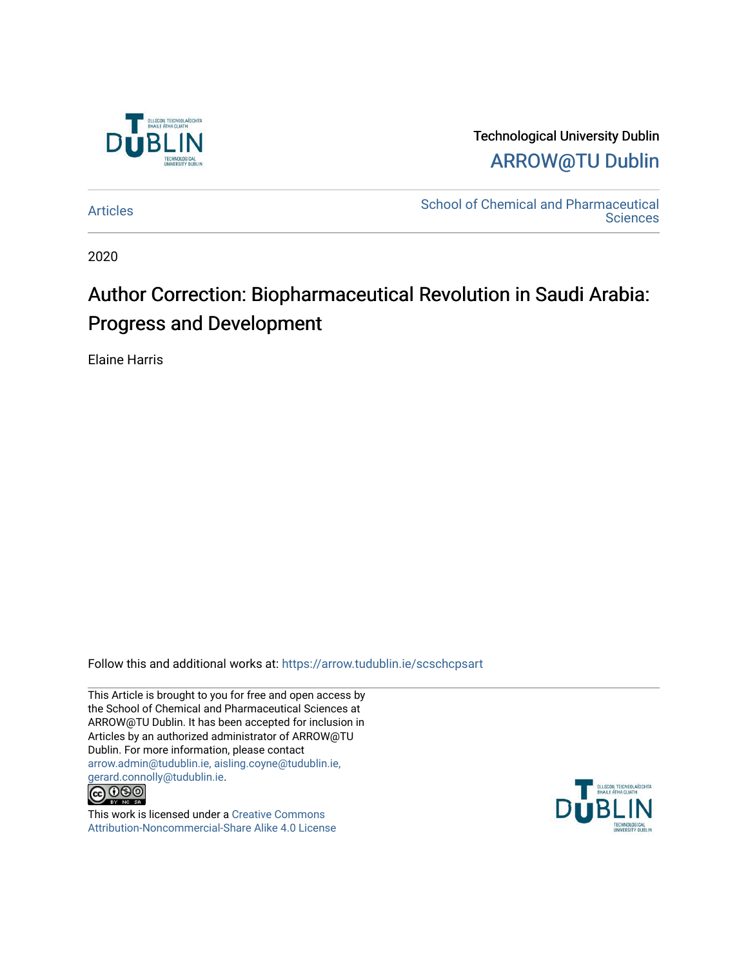

Technological University Dublin [ARROW@TU Dublin](https://arrow.tudublin.ie/) 

[Articles](https://arrow.tudublin.ie/scschcpsart) **School of Chemical and Pharmaceutical Sciences** 

2020

## Author Correction: Biopharmaceutical Revolution in Saudi Arabia: Progress and Development

Elaine Harris

Follow this and additional works at: [https://arrow.tudublin.ie/scschcpsart](https://arrow.tudublin.ie/scschcpsart?utm_source=arrow.tudublin.ie%2Fscschcpsart%2F125&utm_medium=PDF&utm_campaign=PDFCoverPages) 

This Article is brought to you for free and open access by the School of Chemical and Pharmaceutical Sciences at ARROW@TU Dublin. It has been accepted for inclusion in Articles by an authorized administrator of ARROW@TU Dublin. For more information, please contact [arrow.admin@tudublin.ie, aisling.coyne@tudublin.ie,](mailto:arrow.admin@tudublin.ie,%20aisling.coyne@tudublin.ie,%20gerard.connolly@tudublin.ie)  [gerard.connolly@tudublin.ie](mailto:arrow.admin@tudublin.ie,%20aisling.coyne@tudublin.ie,%20gerard.connolly@tudublin.ie).



This work is licensed under a [Creative Commons](http://creativecommons.org/licenses/by-nc-sa/4.0/) [Attribution-Noncommercial-Share Alike 4.0 License](http://creativecommons.org/licenses/by-nc-sa/4.0/)

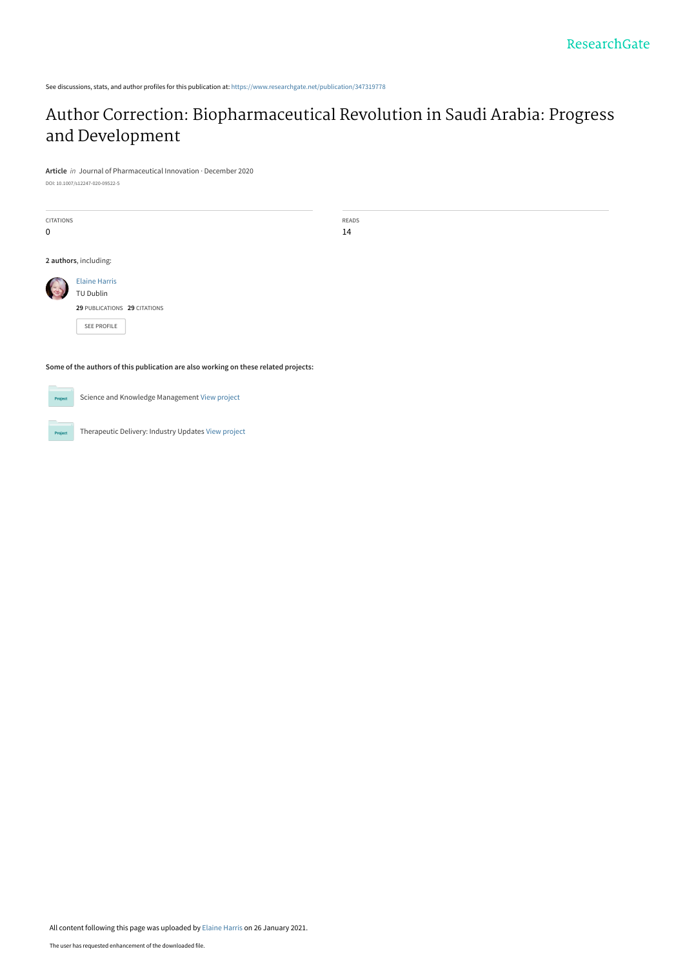See discussions, stats, and author profiles for this publication at: [https://www.researchgate.net/publication/347319778](https://www.researchgate.net/publication/347319778_Author_Correction_Biopharmaceutical_Revolution_in_Saudi_Arabia_Progress_and_Development?enrichId=rgreq-ea947f0c691f5d1c954ec1e0be27f1de-XXX&enrichSource=Y292ZXJQYWdlOzM0NzMxOTc3ODtBUzo5ODQyMTI3ODE5NDQ4NDFAMTYxMTY2NjAyMTcwNQ%3D%3D&el=1_x_2&_esc=publicationCoverPdf)

## [Author Correction: Biopharmaceutical Revolution in Saudi Arabia: Progress](https://www.researchgate.net/publication/347319778_Author_Correction_Biopharmaceutical_Revolution_in_Saudi_Arabia_Progress_and_Development?enrichId=rgreq-ea947f0c691f5d1c954ec1e0be27f1de-XXX&enrichSource=Y292ZXJQYWdlOzM0NzMxOTc3ODtBUzo5ODQyMTI3ODE5NDQ4NDFAMTYxMTY2NjAyMTcwNQ%3D%3D&el=1_x_3&_esc=publicationCoverPdf) and Development

READS 14

**Article** in Journal of Pharmaceutical Innovation · December 2020

DOI: 10.1007/s12247-020-09522-5

CITATIONS 0 **2 authors**, including: [Elaine Harris](https://www.researchgate.net/profile/Elaine-Harris-3?enrichId=rgreq-ea947f0c691f5d1c954ec1e0be27f1de-XXX&enrichSource=Y292ZXJQYWdlOzM0NzMxOTc3ODtBUzo5ODQyMTI3ODE5NDQ4NDFAMTYxMTY2NjAyMTcwNQ%3D%3D&el=1_x_5&_esc=publicationCoverPdf) TU Dublin **29** PUBLICATIONS **29** CITATIONS

[SEE PROFILE](https://www.researchgate.net/profile/Elaine-Harris-3?enrichId=rgreq-ea947f0c691f5d1c954ec1e0be27f1de-XXX&enrichSource=Y292ZXJQYWdlOzM0NzMxOTc3ODtBUzo5ODQyMTI3ODE5NDQ4NDFAMTYxMTY2NjAyMTcwNQ%3D%3D&el=1_x_7&_esc=publicationCoverPdf)

**Some of the authors of this publication are also working on these related projects:**

 $Prc$ 

Pro

Science and Knowledge Management [View project](https://www.researchgate.net/project/Science-and-Knowledge-Management?enrichId=rgreq-ea947f0c691f5d1c954ec1e0be27f1de-XXX&enrichSource=Y292ZXJQYWdlOzM0NzMxOTc3ODtBUzo5ODQyMTI3ODE5NDQ4NDFAMTYxMTY2NjAyMTcwNQ%3D%3D&el=1_x_9&_esc=publicationCoverPdf)

Therapeutic Delivery: Industry Updates [View project](https://www.researchgate.net/project/Therapeutic-Delivery-Industry-Updates?enrichId=rgreq-ea947f0c691f5d1c954ec1e0be27f1de-XXX&enrichSource=Y292ZXJQYWdlOzM0NzMxOTc3ODtBUzo5ODQyMTI3ODE5NDQ4NDFAMTYxMTY2NjAyMTcwNQ%3D%3D&el=1_x_9&_esc=publicationCoverPdf)

All content following this page was uploaded by [Elaine Harris](https://www.researchgate.net/profile/Elaine-Harris-3?enrichId=rgreq-ea947f0c691f5d1c954ec1e0be27f1de-XXX&enrichSource=Y292ZXJQYWdlOzM0NzMxOTc3ODtBUzo5ODQyMTI3ODE5NDQ4NDFAMTYxMTY2NjAyMTcwNQ%3D%3D&el=1_x_10&_esc=publicationCoverPdf) on 26 January 2021.